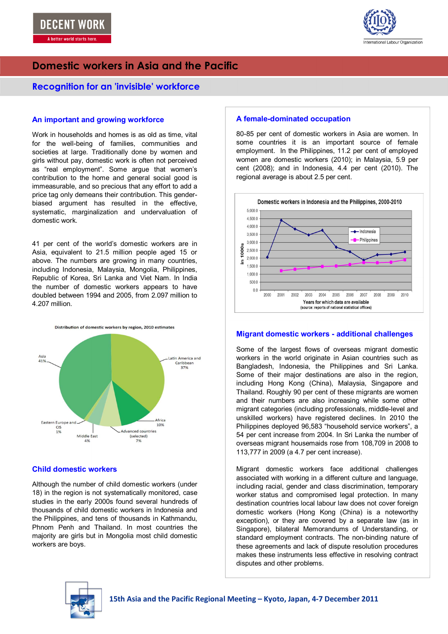

# **Domestic workers in Asia and the Pacific**

### **Recognition for an 'invisible' workforce**

### **An important and growing workforce**

 for the well-being of families, communities and Work in households and homes is as old as time, vital societies at large. Traditionally done by women and girls without pay, domestic work is often not perceived as "real employment". Some argue that women's contribution to the home and general social good is immeasurable, and so precious that any effort to add a price tag only demeans their contribution. This genderbiased argument has resulted in the effective, systematic, marginalization and undervaluation of domestic work.

41 per cent of the world's domestic workers are in Asia, equivalent to 21.5 million people aged 15 or above. The numbers are growing in many countries, including Indonesia, Malaysia, Mongolia, Philippines, Republic of Korea, Sri Lanka and Viet Nam. In India the number of domestic workers appears to have doubled between 1994 and 2005, from 2.097 million to 4.207 million.



### **Child domestic workers**

Although the number of child domestic workers (under 18) in the region is not systematically monitored, case studies in the early 2000s found several hundreds of thousands of child domestic workers in Indonesia and the Philippines, and tens of thousands in Kathmandu, Phnom Penh and Thailand. In most countries the majority are girls but in Mongolia most child domestic workers are boys.

### **A female-dominated occupation**

80-85 per cent of domestic workers in Asia are women. In some countries it is an important source of female employment. In the Philippines, 11.2 per cent of employed women are domestic workers (2010); in Malaysia, 5.9 per cent (2008); and in Indonesia, 4.4 per cent (2010). The regional average is about 2.5 per cent.



### **Migrant domestic workers - additional challenges**

Some of the largest flows of overseas migrant domestic workers in the world originate in Asian countries such as Bangladesh, Indonesia, the Philippines and Sri Lanka. Some of their major destinations are also in the region, including Hong Kong (China), Malaysia, Singapore and Thailand. Roughly 90 per cent of these migrants are women and their numbers are also increasing while some other migrant categories (including professionals, middle-level and unskilled workers) have registered declines. In 2010 the Philippines deployed 96,583 "household service workers", a 54 per cent increase from 2004. In Sri Lanka the number of overseas migrant housemaids rose from 108,709 in 2008 to 113,777 in 2009 (a 4.7 per cent increase).

Migrant domestic workers face additional challenges associated with working in a different culture and language, including racial, gender and class discrimination, temporary worker status and compromised legal protection. In many destination countries local labour law does not cover foreign domestic workers (Hong Kong (China) is a noteworthy exception), or they are covered by a separate law (as in Singapore), bilateral Memorandums of Understanding, or standard employment contracts. The non-binding nature of these agreements and lack of dispute resolution procedures makes these instruments less effective in resolving contract disputes and other problems.